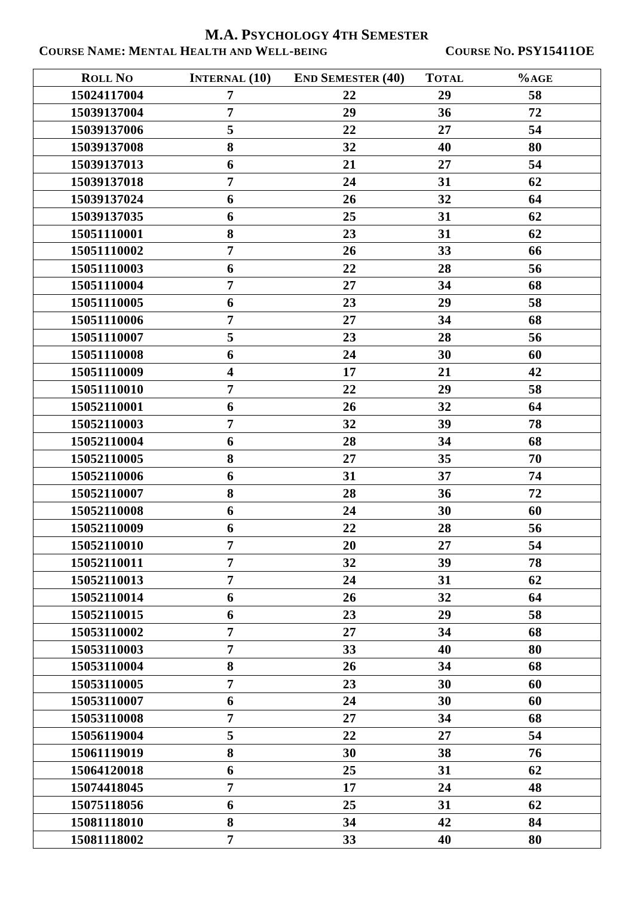**M.A. PSYCHOLOGY 4TH SEMESTER COURSE NAME: MENTAL HEALTH AND WELL-BEING COURSE NO. PSY15411OE**

| <b>ROLL NO</b> | <b>INTERNAL (10)</b>    | <b>END SEMESTER (40)</b> | <b>TOTAL</b> | $%$ AGE |
|----------------|-------------------------|--------------------------|--------------|---------|
| 15024117004    | $\overline{7}$          | 22                       | 29           | 58      |
| 15039137004    | $\overline{7}$          | 29                       | 36           | 72      |
| 15039137006    | 5                       | 22                       | 27           | 54      |
| 15039137008    | 8                       | 32                       | 40           | 80      |
| 15039137013    | 6                       | 21                       | 27           | 54      |
| 15039137018    | $\overline{7}$          | 24                       | 31           | 62      |
| 15039137024    | 6                       | 26                       | 32           | 64      |
| 15039137035    | 6                       | 25                       | 31           | 62      |
| 15051110001    | 8                       | 23                       | 31           | 62      |
| 15051110002    | $\overline{7}$          | 26                       | 33           | 66      |
| 15051110003    | 6                       | 22                       | 28           | 56      |
| 15051110004    | $\overline{7}$          | 27                       | 34           | 68      |
| 15051110005    | 6                       | 23                       | 29           | 58      |
| 15051110006    | $\overline{7}$          | 27                       | 34           | 68      |
| 15051110007    | 5                       | 23                       | 28           | 56      |
| 15051110008    | 6                       | 24                       | 30           | 60      |
| 15051110009    | $\overline{\mathbf{4}}$ | 17                       | 21           | 42      |
| 15051110010    | $\overline{7}$          | 22                       | 29           | 58      |
| 15052110001    | 6                       | 26                       | 32           | 64      |
| 15052110003    | $\overline{7}$          | 32                       | 39           | 78      |
| 15052110004    | 6                       | 28                       | 34           | 68      |
| 15052110005    | 8                       | 27                       | 35           | 70      |
| 15052110006    | 6                       | 31                       | 37           | 74      |
| 15052110007    | 8                       | 28                       | 36           | 72      |
| 15052110008    | 6                       | 24                       | 30           | 60      |
| 15052110009    | 6                       | 22                       | 28           | 56      |
| 15052110010    | $\boldsymbol{7}$        | 20                       | ${\bf 27}$   | 54      |
| 15052110011    | $\overline{7}$          | 32                       | 39           | 78      |
| 15052110013    | $\overline{7}$          | 24                       | 31           | 62      |
| 15052110014    | 6                       | 26                       | 32           | 64      |
| 15052110015    | 6                       | 23                       | 29           | 58      |
| 15053110002    | $\overline{7}$          | 27                       | 34           | 68      |
| 15053110003    | $\overline{7}$          | 33                       | 40           | 80      |
| 15053110004    | 8                       | 26                       | 34           | 68      |
| 15053110005    | $\overline{7}$          | 23                       | 30           | 60      |
| 15053110007    | 6                       | 24                       | 30           | 60      |
| 15053110008    | $\overline{7}$          | 27                       | 34           | 68      |
| 15056119004    | 5                       | 22                       | 27           | 54      |
| 15061119019    | 8                       | 30                       | 38           | 76      |
| 15064120018    | 6                       | 25                       | 31           | 62      |
| 15074418045    | $\overline{7}$          | 17                       | 24           | 48      |
| 15075118056    | 6                       | 25                       | 31           | 62      |
| 15081118010    | 8                       | 34                       | 42           | 84      |
| 15081118002    | $\overline{7}$          | 33                       | 40           | 80      |